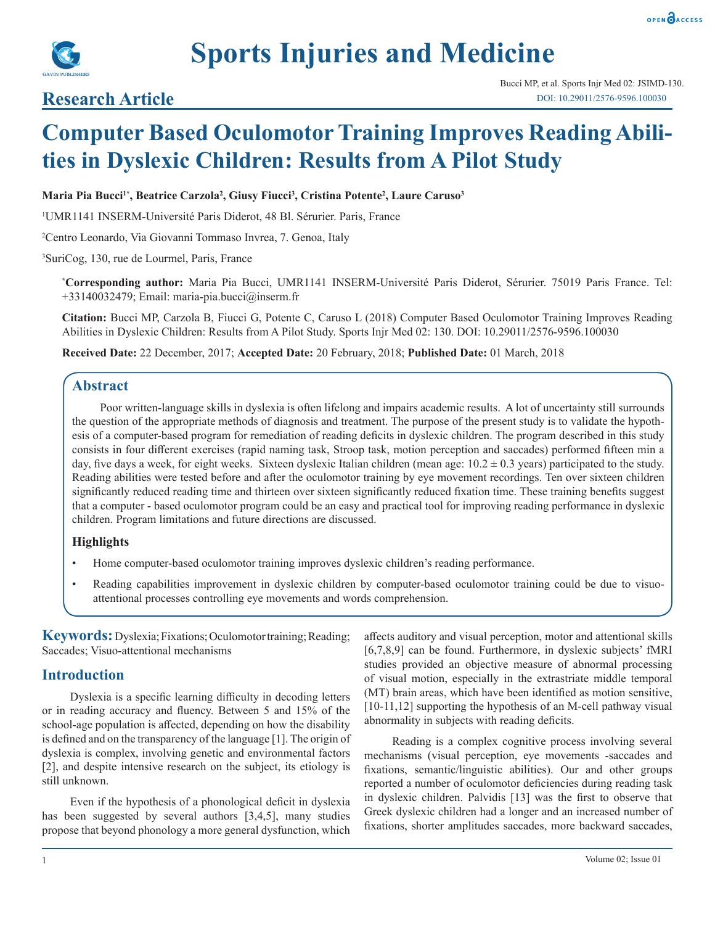

# **Sports Injuries and Medicine**

## **Research Article**

## **Computer Based Oculomotor Training Improves Reading Abilities in Dyslexic Children: Results from A Pilot Study**

#### Maria Pia Bucci<sup>1</sup>\*, Beatrice Carzola<sup>2</sup>, Giusy Fiucci<sup>3</sup>, Cristina Potente<sup>2</sup>, Laure Caruso<sup>3</sup>

1 UMR1141 INSERM-Université Paris Diderot, 48 Bl. Sérurier. Paris, France

2 Centro Leonardo, Via Giovanni Tommaso Invrea, 7. Genoa, Italy

3 SuriCog, 130, rue de Lourmel, Paris, France

**\* Corresponding author:** Maria Pia Bucci, UMR1141 INSERM-Université Paris Diderot, Sérurier. 75019 Paris France. Tel: +33140032479; Email: maria-pia.bucci@inserm.fr

**Citation:** Bucci MP, Carzola B, Fiucci G, Potente C, Caruso L (2018) Computer Based Oculomotor Training Improves Reading Abilities in Dyslexic Children: Results from A Pilot Study. Sports Injr Med 02: 130. DOI: 10.29011/2576-9596.100030

**Received Date:** 22 December, 2017; **Accepted Date:** 20 February, 2018; **Published Date:** 01 March, 2018

#### **Abstract**

Poor written-language skills in dyslexia is often lifelong and impairs academic results. A lot of uncertainty still surrounds the question of the appropriate methods of diagnosis and treatment. The purpose of the present study is to validate the hypothesis of a computer-based program for remediation of reading deficits in dyslexic children. The program described in this study consists in four different exercises (rapid naming task, Stroop task, motion perception and saccades) performed fifteen min a day, five days a week, for eight weeks. Sixteen dyslexic Italian children (mean age:  $10.2 \pm 0.3$  years) participated to the study. Reading abilities were tested before and after the oculomotor training by eye movement recordings. Ten over sixteen children significantly reduced reading time and thirteen over sixteen significantly reduced fixation time. These training benefits suggest that a computer - based oculomotor program could be an easy and practical tool for improving reading performance in dyslexic children. Program limitations and future directions are discussed.

#### **Highlights**

- Home computer-based oculomotor training improves dyslexic children's reading performance.
- Reading capabilities improvement in dyslexic children by computer-based oculomotor training could be due to visuoattentional processes controlling eye movements and words comprehension.

**Keywords:** Dyslexia; Fixations; Oculomotor training; Reading; Saccades; Visuo-attentional mechanisms

#### **Introduction**

Dyslexia is a specific learning difficulty in decoding letters or in reading accuracy and fluency. Between 5 and 15% of the school-age population is affected, depending on how the disability is defined and on the transparency of the language [1]. The origin of dyslexia is complex, involving genetic and environmental factors [2], and despite intensive research on the subject, its etiology is still unknown.

Even if the hypothesis of a phonological deficit in dyslexia has been suggested by several authors [3,4,5], many studies propose that beyond phonology a more general dysfunction, which affects auditory and visual perception, motor and attentional skills [6,7,8,9] can be found. Furthermore, in dyslexic subjects' fMRI studies provided an objective measure of abnormal processing of visual motion, especially in the extrastriate middle temporal (MT) brain areas, which have been identified as motion sensitive, [10-11,12] supporting the hypothesis of an M-cell pathway visual abnormality in subjects with reading deficits.

Reading is a complex cognitive process involving several mechanisms (visual perception, eye movements -saccades and fixations, semantic/linguistic abilities). Our and other groups reported a number of oculomotor deficiencies during reading task in dyslexic children. Palvidis [13] was the first to observe that Greek dyslexic children had a longer and an increased number of fixations, shorter amplitudes saccades, more backward saccades,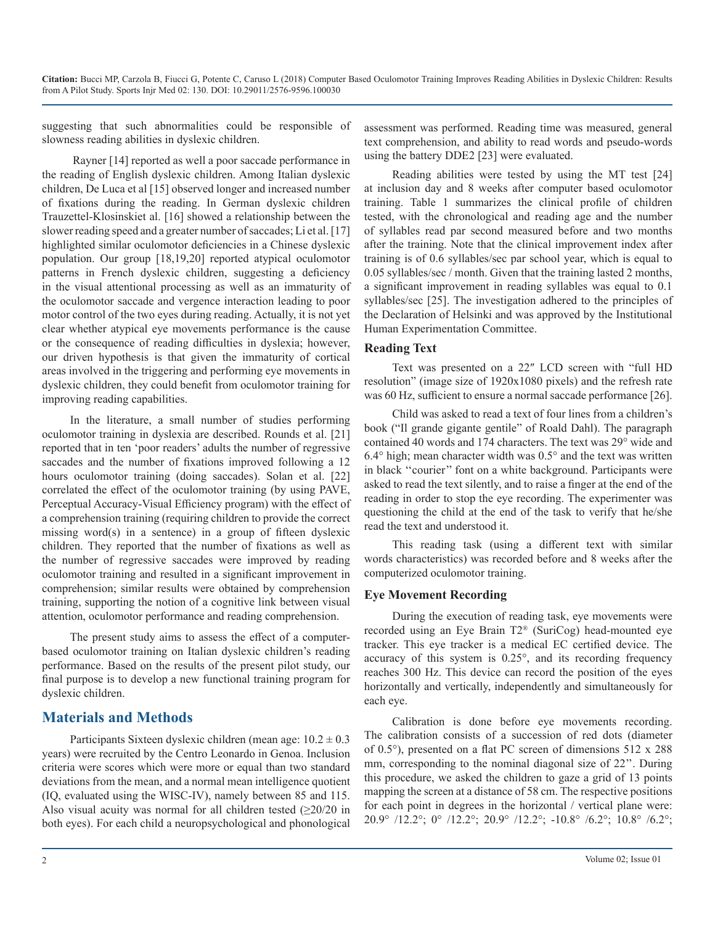suggesting that such abnormalities could be responsible of slowness reading abilities in dyslexic children.

 Rayner [14] reported as well a poor saccade performance in the reading of English dyslexic children. Among Italian dyslexic children, De Luca et al [15] observed longer and increased number of fixations during the reading. In German dyslexic children Trauzettel-Klosinskiet al. [16] showed a relationship between the slower reading speed and a greater number of saccades; Li et al. [17] highlighted similar oculomotor deficiencies in a Chinese dyslexic population. Our group [18,19,20] reported atypical oculomotor patterns in French dyslexic children, suggesting a deficiency in the visual attentional processing as well as an immaturity of the oculomotor saccade and vergence interaction leading to poor motor control of the two eyes during reading. Actually, it is not yet clear whether atypical eye movements performance is the cause or the consequence of reading difficulties in dyslexia; however, our driven hypothesis is that given the immaturity of cortical areas involved in the triggering and performing eye movements in dyslexic children, they could benefit from oculomotor training for improving reading capabilities.

In the literature, a small number of studies performing oculomotor training in dyslexia are described. Rounds et al. [21] reported that in ten 'poor readers' adults the number of regressive saccades and the number of fixations improved following a 12 hours oculomotor training (doing saccades). Solan et al. [22] correlated the effect of the oculomotor training (by using PAVE, Perceptual Accuracy-Visual Efficiency program) with the effect of a comprehension training (requiring children to provide the correct missing word(s) in a sentence) in a group of fifteen dyslexic children. They reported that the number of fixations as well as the number of regressive saccades were improved by reading oculomotor training and resulted in a significant improvement in comprehension; similar results were obtained by comprehension training, supporting the notion of a cognitive link between visual attention, oculomotor performance and reading comprehension.

The present study aims to assess the effect of a computerbased oculomotor training on Italian dyslexic children's reading performance. Based on the results of the present pilot study, our final purpose is to develop a new functional training program for dyslexic children.

### **Materials and Methods**

Participants Sixteen dyslexic children (mean age:  $10.2 \pm 0.3$ years) were recruited by the Centro Leonardo in Genoa. Inclusion criteria were scores which were more or equal than two standard deviations from the mean, and a normal mean intelligence quotient (IQ, evaluated using the WISC-IV), namely between 85 and 115. Also visual acuity was normal for all children tested  $(≥20/20$  in both eyes). For each child a neuropsychological and phonological assessment was performed. Reading time was measured, general text comprehension, and ability to read words and pseudo-words using the battery DDE2 [23] were evaluated.

Reading abilities were tested by using the MT test [24] at inclusion day and 8 weeks after computer based oculomotor training. Table 1 summarizes the clinical profile of children tested, with the chronological and reading age and the number of syllables read par second measured before and two months after the training. Note that the clinical improvement index after training is of 0.6 syllables/sec par school year, which is equal to 0.05 syllables/sec / month. Given that the training lasted 2 months, a significant improvement in reading syllables was equal to 0.1 syllables/sec [25]. The investigation adhered to the principles of the Declaration of Helsinki and was approved by the Institutional Human Experimentation Committee.

#### **Reading Text**

Text was presented on a 22″ LCD screen with "full HD resolution" (image size of 1920x1080 pixels) and the refresh rate was 60 Hz, sufficient to ensure a normal saccade performance [26].

Child was asked to read a text of four lines from a children's book ("Il grande gigante gentile" of Roald Dahl). The paragraph contained 40 words and 174 characters. The text was 29° wide and 6.4° high; mean character width was 0.5° and the text was written in black ''courier'' font on a white background. Participants were asked to read the text silently, and to raise a finger at the end of the reading in order to stop the eye recording. The experimenter was questioning the child at the end of the task to verify that he/she read the text and understood it.

This reading task (using a different text with similar words characteristics) was recorded before and 8 weeks after the computerized oculomotor training.

#### **Eye Movement Recording**

During the execution of reading task, eye movements were recorded using an Eye Brain T2® (SuriCog) head-mounted eye tracker. This eye tracker is a medical EC certified device. The accuracy of this system is 0.25°, and its recording frequency reaches 300 Hz. This device can record the position of the eyes horizontally and vertically, independently and simultaneously for each eye.

Calibration is done before eye movements recording. The calibration consists of a succession of red dots (diameter of 0.5°), presented on a flat PC screen of dimensions 512 x 288 mm, corresponding to the nominal diagonal size of 22''. During this procedure, we asked the children to gaze a grid of 13 points mapping the screen at a distance of 58 cm. The respective positions for each point in degrees in the horizontal / vertical plane were: 20.9° /12.2°; 0° /12.2°; 20.9° /12.2°; -10.8° /6.2°; 10.8° /6.2°;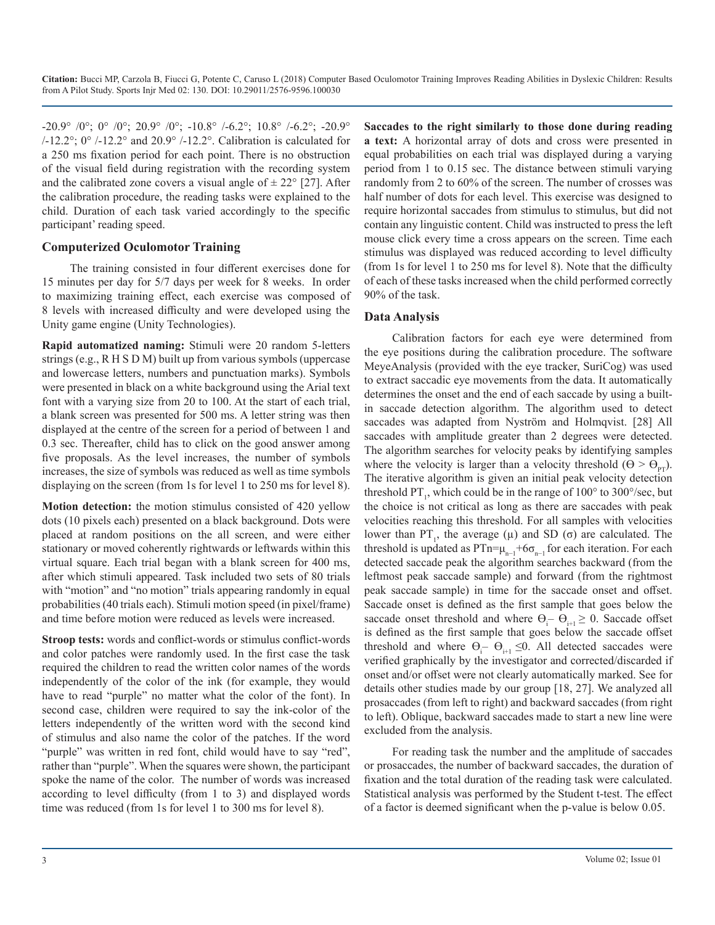$-20.9^{\circ}$  /0°; 0° /0°; 20.9° /0°;  $-10.8^{\circ}$  /-6.2°; 10.8° /-6.2°;  $-20.9^{\circ}$  $/$ -12.2°; 0°  $/$ -12.2° and 20.9°  $/$ -12.2°. Calibration is calculated for a 250 ms fixation period for each point. There is no obstruction of the visual field during registration with the recording system and the calibrated zone covers a visual angle of  $\pm 22^{\circ}$  [27]. After the calibration procedure, the reading tasks were explained to the child. Duration of each task varied accordingly to the specific participant' reading speed.

#### **Computerized Oculomotor Training**

The training consisted in four different exercises done for 15 minutes per day for 5/7 days per week for 8 weeks. In order to maximizing training effect, each exercise was composed of 8 levels with increased difficulty and were developed using the Unity game engine (Unity Technologies).

**Rapid automatized naming:** Stimuli were 20 random 5-letters strings (e.g., R H S D M) built up from various symbols (uppercase and lowercase letters, numbers and punctuation marks). Symbols were presented in black on a white background using the Arial text font with a varying size from 20 to 100. At the start of each trial, a blank screen was presented for 500 ms. A letter string was then displayed at the centre of the screen for a period of between 1 and 0.3 sec. Thereafter, child has to click on the good answer among five proposals. As the level increases, the number of symbols increases, the size of symbols was reduced as well as time symbols displaying on the screen (from 1s for level 1 to 250 ms for level 8).

**Motion detection:** the motion stimulus consisted of 420 yellow dots (10 pixels each) presented on a black background. Dots were placed at random positions on the all screen, and were either stationary or moved coherently rightwards or leftwards within this virtual square. Each trial began with a blank screen for 400 ms, after which stimuli appeared. Task included two sets of 80 trials with "motion" and "no motion" trials appearing randomly in equal probabilities (40 trials each). Stimuli motion speed (in pixel/frame) and time before motion were reduced as levels were increased.

**Stroop tests:** words and conflict-words or stimulus conflict-words and color patches were randomly used. In the first case the task required the children to read the written color names of the words independently of the color of the ink (for example, they would have to read "purple" no matter what the color of the font). In second case, children were required to say the ink-color of the letters independently of the written word with the second kind of stimulus and also name the color of the patches. If the word "purple" was written in red font, child would have to say "red", rather than "purple". When the squares were shown, the participant spoke the name of the color. The number of words was increased according to level difficulty (from 1 to 3) and displayed words time was reduced (from 1s for level 1 to 300 ms for level 8).

**Saccades to the right similarly to those done during reading a text:** A horizontal array of dots and cross were presented in equal probabilities on each trial was displayed during a varying period from 1 to 0.15 sec. The distance between stimuli varying randomly from 2 to 60% of the screen. The number of crosses was half number of dots for each level. This exercise was designed to require horizontal saccades from stimulus to stimulus, but did not contain any linguistic content. Child was instructed to press the left mouse click every time a cross appears on the screen. Time each stimulus was displayed was reduced according to level difficulty (from 1s for level 1 to 250 ms for level 8). Note that the difficulty of each of these tasks increased when the child performed correctly 90% of the task.

#### **Data Analysis**

Calibration factors for each eye were determined from the eye positions during the calibration procedure. The software MeyeAnalysis (provided with the eye tracker, SuriCog) was used to extract saccadic eye movements from the data. It automatically determines the onset and the end of each saccade by using a builtin saccade detection algorithm. The algorithm used to detect saccades was adapted from Nyström and Holmqvist. [28] All saccades with amplitude greater than 2 degrees were detected. The algorithm searches for velocity peaks by identifying samples where the velocity is larger than a velocity threshold  $(\Theta > \Theta_{\text{pr}})$ . The iterative algorithm is given an initial peak velocity detection threshold  $PT_1$ , which could be in the range of  $100^{\circ}$  to  $300^{\circ}/sec$ , but the choice is not critical as long as there are saccades with peak velocities reaching this threshold. For all samples with velocities lower than  $PT_1$ , the average ( $\mu$ ) and SD ( $\sigma$ ) are calculated. The threshold is updated as PTn= $\mu_{n-1}$ +6 $\sigma_{n-1}$  for each iteration. For each detected saccade peak the algorithm searches backward (from the leftmost peak saccade sample) and forward (from the rightmost peak saccade sample) in time for the saccade onset and offset. Saccade onset is defined as the first sample that goes below the saccade onset threshold and where  $\Theta_{\text{i}} - \Theta_{\text{i+1}} \geq 0$ . Saccade offset is defined as the first sample that goes below the saccade offset threshold and where  $\Theta_i$  –  $\Theta_{i+1} \leq 0$ . All detected saccades were verified graphically by the investigator and corrected/discarded if onset and/or offset were not clearly automatically marked. See for details other studies made by our group [18, 27]. We analyzed all prosaccades (from left to right) and backward saccades (from right to left). Oblique, backward saccades made to start a new line were excluded from the analysis.

For reading task the number and the amplitude of saccades or prosaccades, the number of backward saccades, the duration of fixation and the total duration of the reading task were calculated. Statistical analysis was performed by the Student t-test. The effect of a factor is deemed significant when the p-value is below 0.05.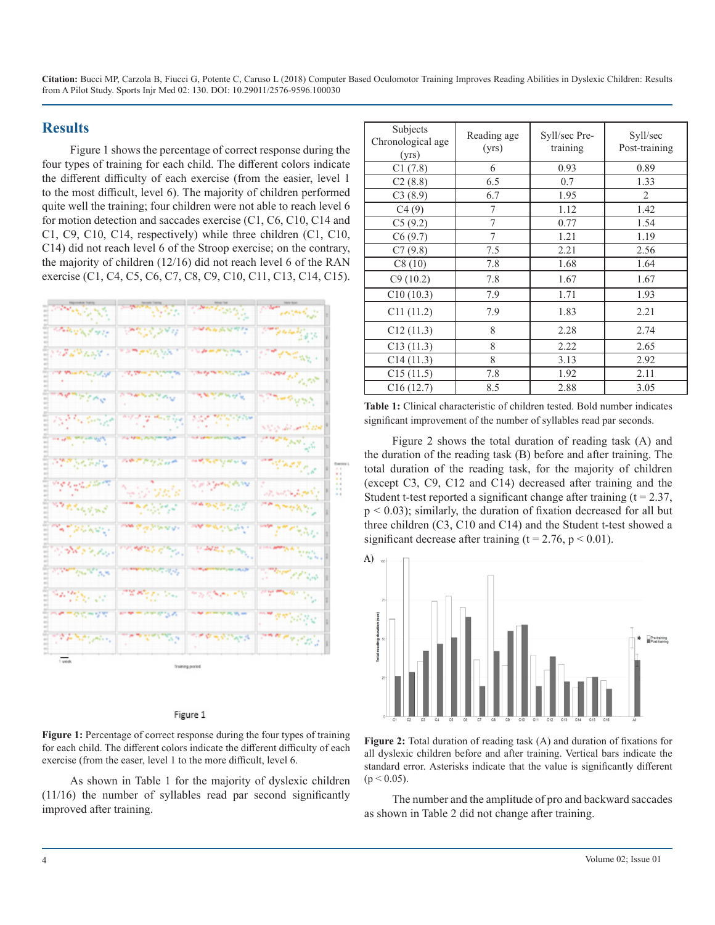**Citation:** Bucci MP, Carzola B, Fiucci G, Potente C, Caruso L (2018) Computer Based Oculomotor Training Improves Reading Abilities in Dyslexic Children: Results from A Pilot Study. Sports Injr Med 02: 130. DOI: 10.29011/2576-9596.100030

#### **Results**

Figure 1 shows the percentage of correct response during the four types of training for each child. The different colors indicate the different difficulty of each exercise (from the easier, level 1 to the most difficult, level 6). The majority of children performed quite well the training; four children were not able to reach level 6 for motion detection and saccades exercise (C1, C6, C10, C14 and C1, C9, C10, C14, respectively) while three children (C1, C10, C14) did not reach level 6 of the Stroop exercise; on the contrary, the majority of children (12/16) did not reach level 6 of the RAN exercise (C1, C4, C5, C6, C7, C8, C9, C10, C11, C13, C14, C15).

| المراكب المواضحة المستوفية المواضحة المواضحة المواضحة المواضحة المواضحة المواضحة المواضحة المواضحة المواضحة ال<br>المواضحة المواضحة المواضحة المواضحة المواضحة المواضحة المواضحة المواضحة المواضحة المواضحة المواضحة المواضحة ال | mary 1920                                                  | Speed of Strain                                                                                                                                                        | ennis p                           |   |
|----------------------------------------------------------------------------------------------------------------------------------------------------------------------------------------------------------------------------------|------------------------------------------------------------|------------------------------------------------------------------------------------------------------------------------------------------------------------------------|-----------------------------------|---|
| at a tanging the rest of                                                                                                                                                                                                         | بالمحروري المتعاقبة                                        | <b>SMALL AVETT</b>                                                                                                                                                     | <b>Standard Corporation</b>       |   |
| <b>START LANE</b>                                                                                                                                                                                                                | rament ya 1                                                | والمتعاوية والمتعاونات                                                                                                                                                 | والمطلبين والمتعاطف والمترام      |   |
| <b>Man Principal of</b>                                                                                                                                                                                                          | $\Delta$ - Algorithm ( $\Delta$ ) of the state of $\Delta$ | <b>Surger School</b>                                                                                                                                                   | and played                        | B |
| ما با با با با با با با با با                                                                                                                                                                                                    | <b>Service</b>                                             | <b>ARTICULUM</b>                                                                                                                                                       | أوفرا وسوري                       |   |
| ng Mandangan                                                                                                                                                                                                                     | and it of the Copy                                         | ran yayin s                                                                                                                                                            | Sing del arts the                 |   |
| <b>The Care and Care Care and Care Care and</b>                                                                                                                                                                                  | na tewa zunam nasir                                        |                                                                                                                                                                        | gangan palauga                    |   |
| <b><i>PERSONAL</i></b>                                                                                                                                                                                                           | antary zur                                                 | a <b>wa</b> kusing masa ng                                                                                                                                             | <b>STATISTICS</b>                 |   |
| ing kapal sa m                                                                                                                                                                                                                   | $\sim$ 200                                                 | Sa information in                                                                                                                                                      | المركاح والمرحان المتاريخ والمراد |   |
| an prospect                                                                                                                                                                                                                      | Theater                                                    | 网络哈哈费尔尔萨                                                                                                                                                               | an ang Kar                        |   |
| Tell Hollands                                                                                                                                                                                                                    | and the Streets                                            | والموالية المرابع المرابطة المعارفة                                                                                                                                    | المرابان والمستعمل المعامد        |   |
| 1788 8 1 Aug                                                                                                                                                                                                                     | omas el por                                                | $\left\langle \psi_{\mu\nu}^{\mu\nu} \Delta \psi_{\nu\mu}^{\nu\lambda} \right\rangle_{\mu\nu} \delta \psi_{\nu\mu}^{\nu\lambda} \delta \psi_{\nu\lambda}^{\nu\lambda}$ | <b>The Second Second</b>          |   |
| <b>START BANK BOW</b>                                                                                                                                                                                                            | and the Lindship                                           | More painted to the UN                                                                                                                                                 | a Mary of Gold                    |   |
| anggal sa                                                                                                                                                                                                                        | <b>CRANTE</b> Ser                                          | na che che                                                                                                                                                             | ang mula sa Pag                   |   |
| <b>MTRCHYS</b>                                                                                                                                                                                                                   | www.com                                                    | to the process the top 20 min                                                                                                                                          | ma dal Period                     |   |
| <b>SAMP</b>                                                                                                                                                                                                                      | وأبار ويتكفف                                               | <b>CONSTRUCT</b>                                                                                                                                                       | gaang gilbis 1                    |   |

#### Figure 1

**Figure 1:** Percentage of correct response during the four types of training for each child. The different colors indicate the different difficulty of each exercise (from the easer, level 1 to the more difficult, level 6.

As shown in Table 1 for the majority of dyslexic children (11/16) the number of syllables read par second significantly improved after training.

| Subjects<br>Chronological age<br>(yrs) | Reading age<br>(yrs) | Syll/sec Pre-<br>training | Syll/sec<br>Post-training |
|----------------------------------------|----------------------|---------------------------|---------------------------|
| C1(7.8)                                | 6                    | 0.93                      | 0.89                      |
| C2(8.8)                                | 6.5                  | 0.7                       | 1.33                      |
| C3(8.9)                                | 6.7                  | 1.95                      | $\mathfrak{D}$            |
| C4(9)                                  | 7                    | 1.12                      | 1.42                      |
| C5(9.2)                                | 7                    | 0.77                      | 1.54                      |
| C6(9.7)                                | $\overline{7}$       | 1.21                      | 1.19                      |
| C7(9.8)                                | 7.5                  | 2.21                      | 2.56                      |
| C8(10)                                 | 7.8                  | 1.68                      | 1.64                      |
| C9(10.2)                               | 7.8                  | 1.67                      | 1.67                      |
| C10(10.3)                              | 7.9                  | 1.71                      | 1.93                      |
| C11(11.2)                              | 7.9                  | 1.83                      | 2.21                      |
| C12(11.3)                              | 8                    | 2.28                      | 2.74                      |
| C13(11.3)                              | 8                    | 2.22                      | 2.65                      |
| C14(11.3)                              | 8                    | 3.13                      | 2.92                      |
| C15(11.5)                              | 7.8                  | 1.92                      | 2.11                      |
| C16(12.7)                              | 8.5                  | 2.88                      | 3.05                      |

**Table 1:** Clinical characteristic of children tested. Bold number indicates significant improvement of the number of syllables read par seconds.

Figure 2 shows the total duration of reading task (A) and the duration of the reading task (B) before and after training. The total duration of the reading task, for the majority of children (except C3, C9, C12 and C14) decreased after training and the Student t-test reported a significant change after training  $(t = 2.37)$ ,  $p < 0.03$ ); similarly, the duration of fixation decreased for all but three children (C3, C10 and C14) and the Student t-test showed a significant decrease after training ( $t = 2.76$ ,  $p < 0.01$ ).



**Figure 2:** Total duration of reading task (A) and duration of fixations for all dyslexic children before and after training. Vertical bars indicate the standard error. Asterisks indicate that the value is significantly different  $(p < 0.05)$ .

The number and the amplitude of pro and backward saccades as shown in Table 2 did not change after training.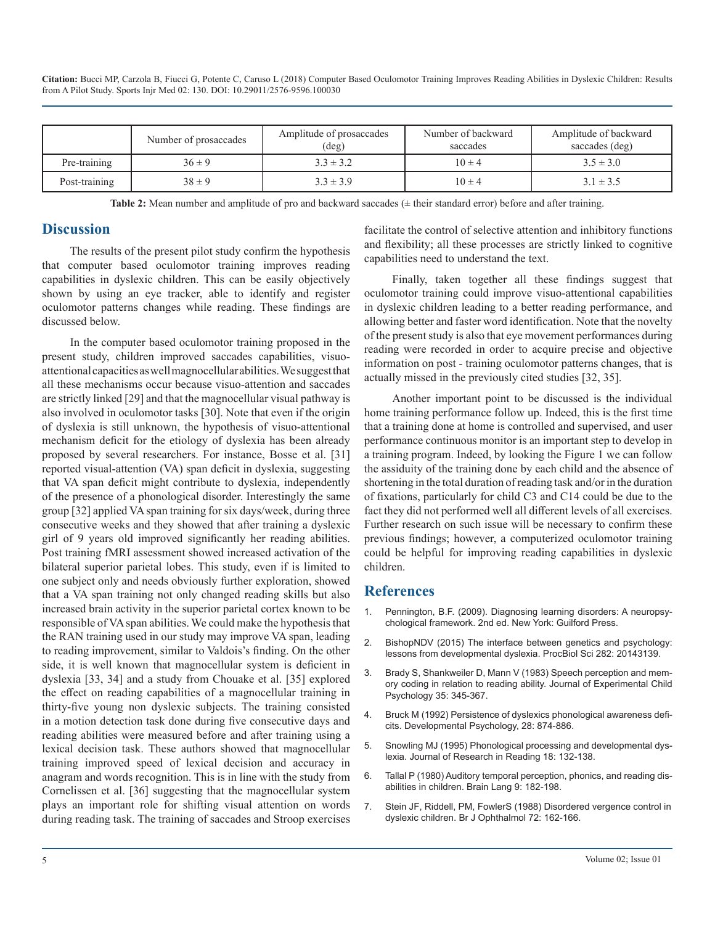**Citation:** Bucci MP, Carzola B, Fiucci G, Potente C, Caruso L (2018) Computer Based Oculomotor Training Improves Reading Abilities in Dyslexic Children: Results from A Pilot Study. Sports Injr Med 02: 130. DOI: 10.29011/2576-9596.100030

|               | Number of prosaccades | Amplitude of prosaccades<br>$(\text{deg})$ | Number of backward<br>saccades | Amplitude of backward<br>saccades (deg) |
|---------------|-----------------------|--------------------------------------------|--------------------------------|-----------------------------------------|
| Pre-training  | $36 \pm 9$            | $3.3 \pm 3.2$                              | $10 \pm 4$                     | $3.5 \pm 3.0$                           |
| Post-training | $38 \pm 9$            | $3.3 \pm 3.9$                              | $10 \pm 4$                     | $3.1 \pm 3.5$                           |

**Table 2:** Mean number and amplitude of pro and backward saccades (± their standard error) before and after training.

#### **Discussion**

The results of the present pilot study confirm the hypothesis that computer based oculomotor training improves reading capabilities in dyslexic children. This can be easily objectively shown by using an eye tracker, able to identify and register oculomotor patterns changes while reading. These findings are discussed below.

In the computer based oculomotor training proposed in the present study, children improved saccades capabilities, visuoattentional capacities as well magnocellular abilities. We suggest that all these mechanisms occur because visuo-attention and saccades are strictly linked [29] and that the magnocellular visual pathway is also involved in oculomotor tasks [30]. Note that even if the origin of dyslexia is still unknown, the hypothesis of visuo-attentional mechanism deficit for the etiology of dyslexia has been already proposed by several researchers. For instance, Bosse et al. [31] reported visual-attention (VA) span deficit in dyslexia, suggesting that VA span deficit might contribute to dyslexia, independently of the presence of a phonological disorder. Interestingly the same group [32] applied VA span training for six days/week, during three consecutive weeks and they showed that after training a dyslexic girl of 9 years old improved significantly her reading abilities. Post training fMRI assessment showed increased activation of the bilateral superior parietal lobes. This study, even if is limited to one subject only and needs obviously further exploration, showed that a VA span training not only changed reading skills but also increased brain activity in the superior parietal cortex known to be responsible of VA span abilities. We could make the hypothesis that the RAN training used in our study may improve VA span, leading [to reading improvement, similar to Valdois's finding. On the other](https://www.ncbi.nlm.nih.gov/pmc/articles/PMC4426619/)  side, it is well known that magnocellular system is deficient in dyslexia [33, 34] and a study from Chouake et al. [35] explored the effect on reading capabilities of a magnocellular training in thirty-five young non dyslexic subjects. The training consisted [in a motion detection task done during five consecutive days and](https://www.researchgate.net/profile/Maggie_Bruck2/publication/232482534_Persistence_of_Dyslexics%27_Phonological_Awareness_Deficits/links/5745f57c08ae9ace842434f1/Persistence-of-Dyslexics-Phonological-Awareness-Deficits.pdf)  reading abilities were measured before and after training using a lexical decision task. These authors showed that magnocellular training improved speed of lexical decision and accuracy in anagram and words recognition. This is in line with the study from [Cornelissen et al. \[36\] suggesting that the magnocellular system](https://www.ncbi.nlm.nih.gov/pubmed/7363063)  plays an important role for shifting visual attention on words [during reading task. The training of saccades and Stroop exercises](https://www.ncbi.nlm.nih.gov/pubmed/3355801) 

facilitate the control of selective attention and inhibitory functions and flexibility; all these processes are strictly linked to cognitive capabilities need to understand the text.

Finally, taken together all these findings suggest that oculomotor training could improve visuo-attentional capabilities in dyslexic children leading to a better reading performance, and allowing better and faster word identification. Note that the novelty of the present study is also that eye movement performances during reading were recorded in order to acquire precise and objective information on post - training oculomotor patterns changes, that is actually missed in the previously cited studies [32, 35].

Another important point to be discussed is the individual home training performance follow up. Indeed, this is the first time that a training done at home is controlled and supervised, and user performance continuous monitor is an important step to develop in a training program. Indeed, by looking the Figure 1 we can follow the assiduity of the training done by each child and the absence of shortening in the total duration of reading task and/or in the duration of fixations, particularly for child C3 and C14 could be due to the fact they did not performed well all different levels of all exercises. Further research on such issue will be necessary to confirm these previous findings; however, a computerized oculomotor training could be helpful for improving reading capabilities in dyslexic children.

#### **References**

- 1. Pennington, B.F. (2009). Diagnosing learning disorders: A neuropsychological framework. 2nd ed. New York: Guilford Press.
- 2. [BishopNDV \(2015\) The interface between genetics and psychology:](https://www.ncbi.nlm.nih.gov/pmc/articles/PMC4426619/)  lessons from developmental dyslexia. ProcBiol Sci 282: 20143139.
- 3. [Brady S, Shankweiler D, Mann V \(1983\) Speech perception and mem](https://www.ncbi.nlm.nih.gov/pubmed/6842131)[ory coding in relation to reading ability. Journal of Experimental Child](https://www.ncbi.nlm.nih.gov/pubmed/6842131)  [Psychology 35: 345-367.](https://www.ncbi.nlm.nih.gov/pubmed/6842131)
- 4. [Bruck M \(1992\) Persistence of dyslexics phonological awareness defi](https://www.researchgate.net/profile/Maggie_Bruck2/publication/232482534_Persistence_of_Dyslexics%27_Phonological_Awareness_Deficits/links/5745f57c08ae9ace842434f1/Persistence-of-Dyslexics-Phonological-Awareness-Deficits.pdf)cits. Developmental Psychology, 28: 874-886.
- 5. [Snowling MJ \(1995\) Phonological processing and developmental dys](http://onlinelibrary.wiley.com/doi/10.1111/j.1467-9817.1995.tb00079.x/abstract)[lexia. Journal of Research in Reading 18: 132-138.](http://onlinelibrary.wiley.com/doi/10.1111/j.1467-9817.1995.tb00079.x/abstract)
- 6. [Tallal P \(1980\) Auditory temporal perception, phonics, and reading dis](https://www.ncbi.nlm.nih.gov/pubmed/7363063)abilities in children. Brain Lang 9: 182-198.
- 7. [Stein JF, Riddell, PM, FowlerS \(1988\) Disordered vergence control in](https://www.ncbi.nlm.nih.gov/pubmed/3355801) dyslexic children. Br J Ophthalmol 72: 162-166.